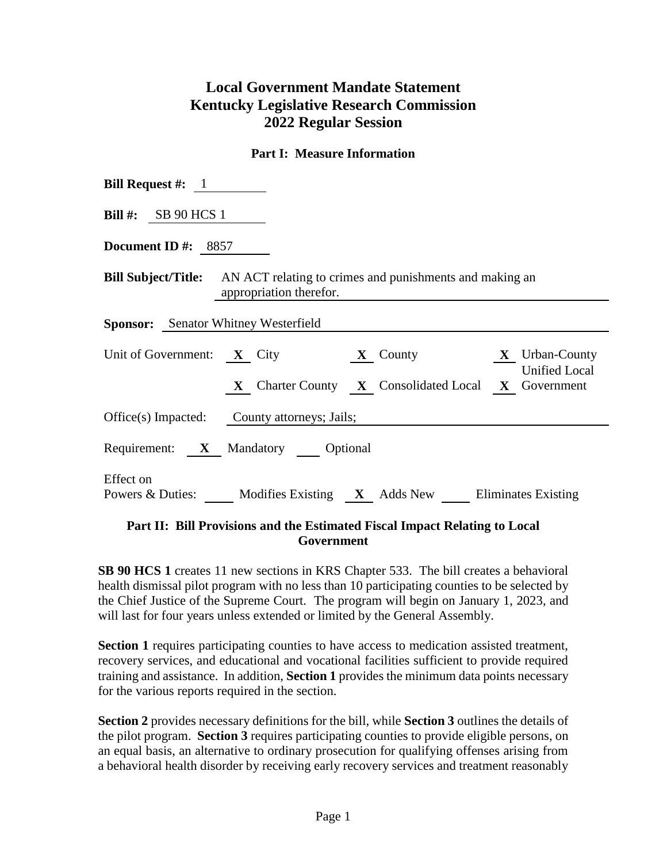# **Local Government Mandate Statement Kentucky Legislative Research Commission 2022 Regular Session**

#### **Part I: Measure Information**

| <b>Bill Request #:</b> $1$                                                                                                       |
|----------------------------------------------------------------------------------------------------------------------------------|
| Bill #: $SB 90 HCS 1$                                                                                                            |
| Document ID $\#$ : 8857                                                                                                          |
| <b>Bill Subject/Title:</b> AN ACT relating to crimes and punishments and making an<br>appropriation therefor.                    |
| <b>Sponsor:</b> Senator Whitney Westerfield                                                                                      |
| Unit of Government: X City X County X Urban-County<br><b>Unified Local</b><br>X Charter County X Consolidated Local X Government |
| Office(s) Impacted: County attorneys; Jails;                                                                                     |
| Requirement: X Mandatory Optional                                                                                                |
| Effect on<br>Powers & Duties: Modifies Existing X Adds New Eliminates Existing                                                   |

#### **Part II: Bill Provisions and the Estimated Fiscal Impact Relating to Local Government**

**SB 90 HCS 1** creates 11 new sections in KRS Chapter 533. The bill creates a behavioral health dismissal pilot program with no less than 10 participating counties to be selected by the Chief Justice of the Supreme Court. The program will begin on January 1, 2023, and will last for four years unless extended or limited by the General Assembly.

**Section 1** requires participating counties to have access to medication assisted treatment, recovery services, and educational and vocational facilities sufficient to provide required training and assistance. In addition, **Section 1** provides the minimum data points necessary for the various reports required in the section.

**Section 2** provides necessary definitions for the bill, while **Section 3** outlines the details of the pilot program. **Section 3** requires participating counties to provide eligible persons, on an equal basis, an alternative to ordinary prosecution for qualifying offenses arising from a behavioral health disorder by receiving early recovery services and treatment reasonably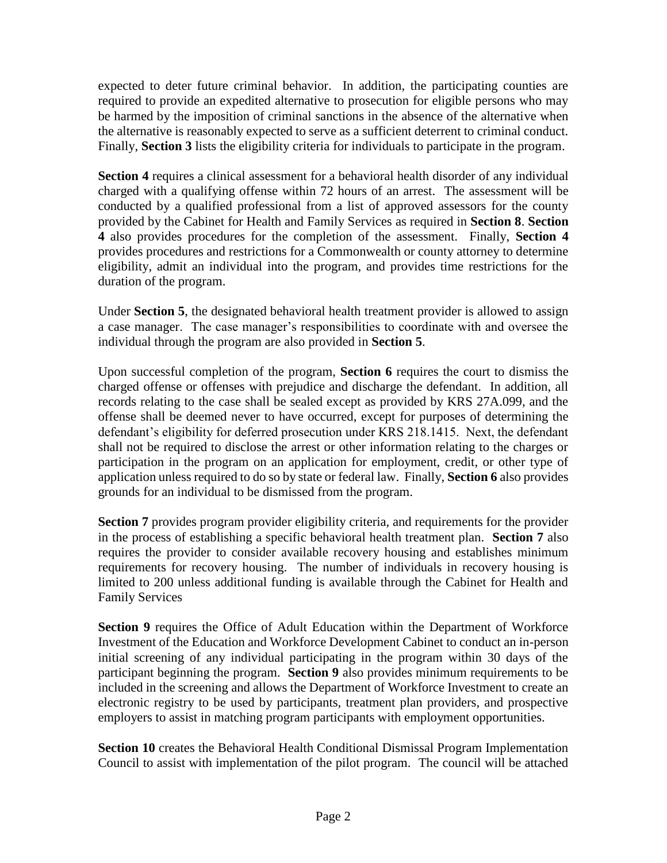expected to deter future criminal behavior. In addition, the participating counties are required to provide an expedited alternative to prosecution for eligible persons who may be harmed by the imposition of criminal sanctions in the absence of the alternative when the alternative is reasonably expected to serve as a sufficient deterrent to criminal conduct. Finally, **Section 3** lists the eligibility criteria for individuals to participate in the program.

**Section 4** requires a clinical assessment for a behavioral health disorder of any individual charged with a qualifying offense within 72 hours of an arrest. The assessment will be conducted by a qualified professional from a list of approved assessors for the county provided by the Cabinet for Health and Family Services as required in **Section 8**. **Section 4** also provides procedures for the completion of the assessment. Finally, **Section 4** provides procedures and restrictions for a Commonwealth or county attorney to determine eligibility, admit an individual into the program, and provides time restrictions for the duration of the program.

Under **Section 5**, the designated behavioral health treatment provider is allowed to assign a case manager. The case manager's responsibilities to coordinate with and oversee the individual through the program are also provided in **Section 5**.

Upon successful completion of the program, **Section 6** requires the court to dismiss the charged offense or offenses with prejudice and discharge the defendant. In addition, all records relating to the case shall be sealed except as provided by KRS 27A.099, and the offense shall be deemed never to have occurred, except for purposes of determining the defendant's eligibility for deferred prosecution under KRS 218.1415. Next, the defendant shall not be required to disclose the arrest or other information relating to the charges or participation in the program on an application for employment, credit, or other type of application unless required to do so by state or federal law. Finally, **Section 6** also provides grounds for an individual to be dismissed from the program.

**Section 7** provides program provider eligibility criteria, and requirements for the provider in the process of establishing a specific behavioral health treatment plan. **Section 7** also requires the provider to consider available recovery housing and establishes minimum requirements for recovery housing. The number of individuals in recovery housing is limited to 200 unless additional funding is available through the Cabinet for Health and Family Services

**Section 9** requires the Office of Adult Education within the Department of Workforce Investment of the Education and Workforce Development Cabinet to conduct an in-person initial screening of any individual participating in the program within 30 days of the participant beginning the program. **Section 9** also provides minimum requirements to be included in the screening and allows the Department of Workforce Investment to create an electronic registry to be used by participants, treatment plan providers, and prospective employers to assist in matching program participants with employment opportunities.

**Section 10** creates the Behavioral Health Conditional Dismissal Program Implementation Council to assist with implementation of the pilot program. The council will be attached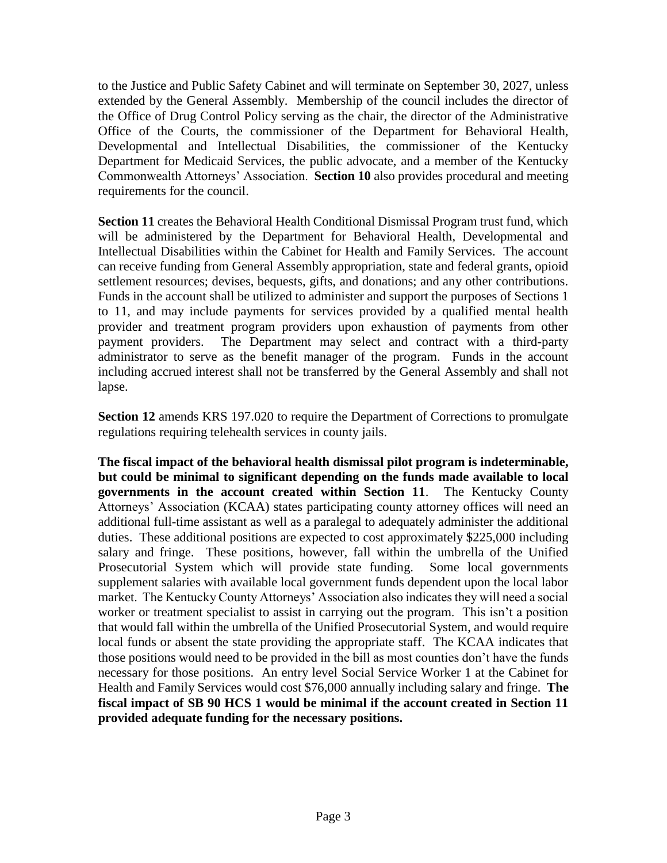to the Justice and Public Safety Cabinet and will terminate on September 30, 2027, unless extended by the General Assembly. Membership of the council includes the director of the Office of Drug Control Policy serving as the chair, the director of the Administrative Office of the Courts, the commissioner of the Department for Behavioral Health, Developmental and Intellectual Disabilities, the commissioner of the Kentucky Department for Medicaid Services, the public advocate, and a member of the Kentucky Commonwealth Attorneys' Association. **Section 10** also provides procedural and meeting requirements for the council.

**Section 11** creates the Behavioral Health Conditional Dismissal Program trust fund, which will be administered by the Department for Behavioral Health, Developmental and Intellectual Disabilities within the Cabinet for Health and Family Services. The account can receive funding from General Assembly appropriation, state and federal grants, opioid settlement resources; devises, bequests, gifts, and donations; and any other contributions. Funds in the account shall be utilized to administer and support the purposes of Sections 1 to 11, and may include payments for services provided by a qualified mental health provider and treatment program providers upon exhaustion of payments from other payment providers. The Department may select and contract with a third-party administrator to serve as the benefit manager of the program. Funds in the account including accrued interest shall not be transferred by the General Assembly and shall not lapse.

**Section 12** amends KRS 197.020 to require the Department of Corrections to promulgate regulations requiring telehealth services in county jails.

**The fiscal impact of the behavioral health dismissal pilot program is indeterminable, but could be minimal to significant depending on the funds made available to local governments in the account created within Section 11**. The Kentucky County Attorneys' Association (KCAA) states participating county attorney offices will need an additional full-time assistant as well as a paralegal to adequately administer the additional duties. These additional positions are expected to cost approximately \$225,000 including salary and fringe. These positions, however, fall within the umbrella of the Unified Prosecutorial System which will provide state funding. Some local governments supplement salaries with available local government funds dependent upon the local labor market. The Kentucky County Attorneys' Association also indicates they will need a social worker or treatment specialist to assist in carrying out the program. This isn't a position that would fall within the umbrella of the Unified Prosecutorial System, and would require local funds or absent the state providing the appropriate staff. The KCAA indicates that those positions would need to be provided in the bill as most counties don't have the funds necessary for those positions. An entry level Social Service Worker 1 at the Cabinet for Health and Family Services would cost \$76,000 annually including salary and fringe. **The fiscal impact of SB 90 HCS 1 would be minimal if the account created in Section 11 provided adequate funding for the necessary positions.**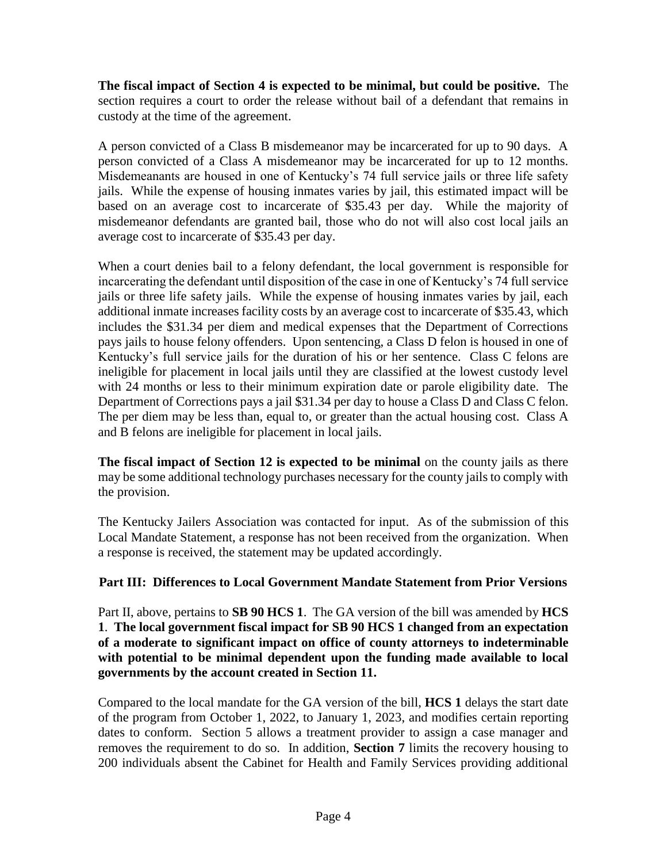**The fiscal impact of Section 4 is expected to be minimal, but could be positive.** The section requires a court to order the release without bail of a defendant that remains in custody at the time of the agreement.

A person convicted of a Class B misdemeanor may be incarcerated for up to 90 days. A person convicted of a Class A misdemeanor may be incarcerated for up to 12 months. Misdemeanants are housed in one of Kentucky's 74 full service jails or three life safety jails. While the expense of housing inmates varies by jail, this estimated impact will be based on an average cost to incarcerate of \$35.43 per day. While the majority of misdemeanor defendants are granted bail, those who do not will also cost local jails an average cost to incarcerate of \$35.43 per day.

When a court denies bail to a felony defendant, the local government is responsible for incarcerating the defendant until disposition of the case in one of Kentucky's 74 full service jails or three life safety jails. While the expense of housing inmates varies by jail, each additional inmate increases facility costs by an average cost to incarcerate of \$35.43, which includes the \$31.34 per diem and medical expenses that the Department of Corrections pays jails to house felony offenders. Upon sentencing, a Class D felon is housed in one of Kentucky's full service jails for the duration of his or her sentence. Class C felons are ineligible for placement in local jails until they are classified at the lowest custody level with 24 months or less to their minimum expiration date or parole eligibility date. The Department of Corrections pays a jail \$31.34 per day to house a Class D and Class C felon. The per diem may be less than, equal to, or greater than the actual housing cost. Class A and B felons are ineligible for placement in local jails.

**The fiscal impact of Section 12 is expected to be minimal** on the county jails as there may be some additional technology purchases necessary for the county jails to comply with the provision.

The Kentucky Jailers Association was contacted for input. As of the submission of this Local Mandate Statement, a response has not been received from the organization. When a response is received, the statement may be updated accordingly.

## **Part III: Differences to Local Government Mandate Statement from Prior Versions**

Part II, above, pertains to **SB 90 HCS 1**. The GA version of the bill was amended by **HCS 1**. **The local government fiscal impact for SB 90 HCS 1 changed from an expectation of a moderate to significant impact on office of county attorneys to indeterminable with potential to be minimal dependent upon the funding made available to local governments by the account created in Section 11.** 

Compared to the local mandate for the GA version of the bill, **HCS 1** delays the start date of the program from October 1, 2022, to January 1, 2023, and modifies certain reporting dates to conform. Section 5 allows a treatment provider to assign a case manager and removes the requirement to do so. In addition, **Section 7** limits the recovery housing to 200 individuals absent the Cabinet for Health and Family Services providing additional